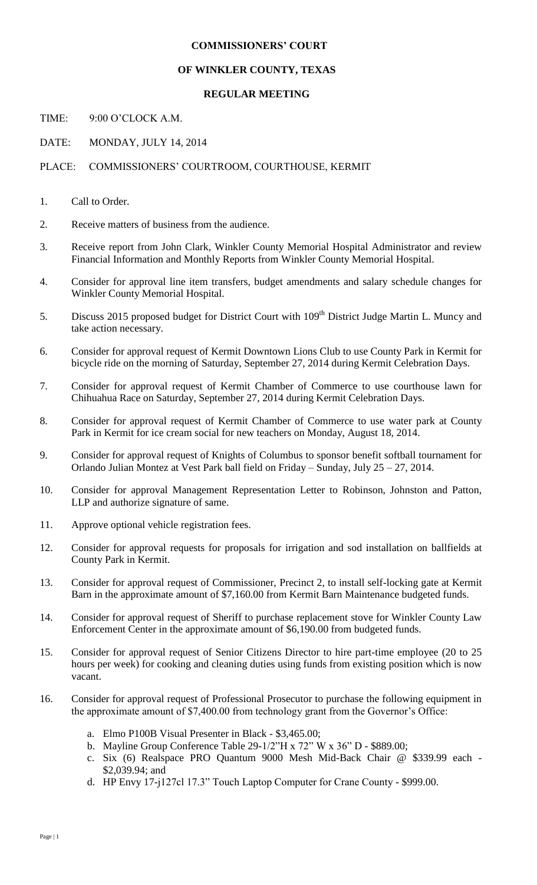## **COMMISSIONERS' COURT**

## **OF WINKLER COUNTY, TEXAS**

## **REGULAR MEETING**

TIME: 9:00 O'CLOCK A.M.

DATE: MONDAY, JULY 14, 2014

PLACE: COMMISSIONERS' COURTROOM, COURTHOUSE, KERMIT

- 1. Call to Order.
- 2. Receive matters of business from the audience.
- 3. Receive report from John Clark, Winkler County Memorial Hospital Administrator and review Financial Information and Monthly Reports from Winkler County Memorial Hospital.
- 4. Consider for approval line item transfers, budget amendments and salary schedule changes for Winkler County Memorial Hospital.
- 5. Discuss 2015 proposed budget for District Court with 109<sup>th</sup> District Judge Martin L. Muncy and take action necessary.
- 6. Consider for approval request of Kermit Downtown Lions Club to use County Park in Kermit for bicycle ride on the morning of Saturday, September 27, 2014 during Kermit Celebration Days.
- 7. Consider for approval request of Kermit Chamber of Commerce to use courthouse lawn for Chihuahua Race on Saturday, September 27, 2014 during Kermit Celebration Days.
- 8. Consider for approval request of Kermit Chamber of Commerce to use water park at County Park in Kermit for ice cream social for new teachers on Monday, August 18, 2014.
- 9. Consider for approval request of Knights of Columbus to sponsor benefit softball tournament for Orlando Julian Montez at Vest Park ball field on Friday – Sunday, July 25 – 27, 2014.
- 10. Consider for approval Management Representation Letter to Robinson, Johnston and Patton, LLP and authorize signature of same.
- 11. Approve optional vehicle registration fees.
- 12. Consider for approval requests for proposals for irrigation and sod installation on ballfields at County Park in Kermit.
- 13. Consider for approval request of Commissioner, Precinct 2, to install self-locking gate at Kermit Barn in the approximate amount of \$7,160.00 from Kermit Barn Maintenance budgeted funds.
- 14. Consider for approval request of Sheriff to purchase replacement stove for Winkler County Law Enforcement Center in the approximate amount of \$6,190.00 from budgeted funds.
- 15. Consider for approval request of Senior Citizens Director to hire part-time employee (20 to 25 hours per week) for cooking and cleaning duties using funds from existing position which is now vacant.
- 16. Consider for approval request of Professional Prosecutor to purchase the following equipment in the approximate amount of \$7,400.00 from technology grant from the Governor's Office:
	- a. Elmo P100B Visual Presenter in Black \$3,465.00;
	- b. Mayline Group Conference Table 29-1/2"H x 72" W x 36" D \$889.00;
	- c. Six (6) Realspace PRO Quantum 9000 Mesh Mid-Back Chair @ \$339.99 each \$2,039.94; and
	- d. HP Envy 17-j127cl 17.3" Touch Laptop Computer for Crane County \$999.00.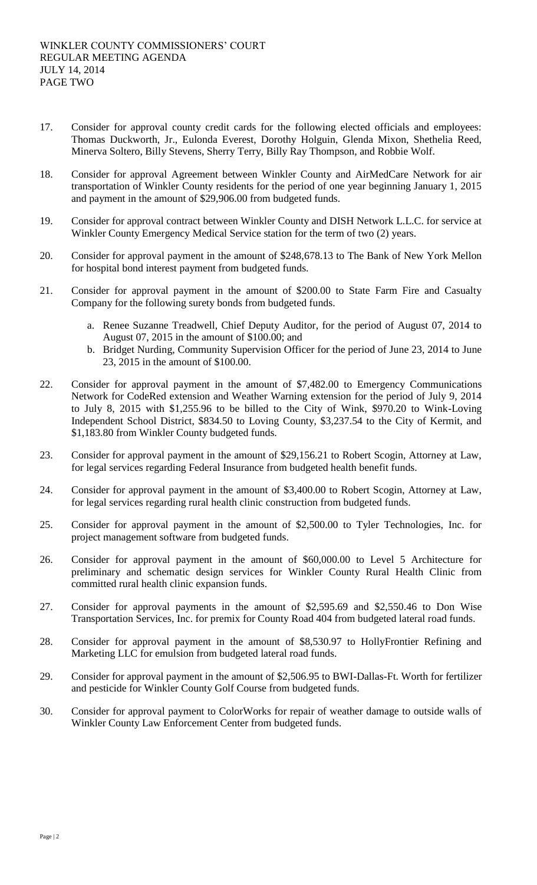- 17. Consider for approval county credit cards for the following elected officials and employees: Thomas Duckworth, Jr., Eulonda Everest, Dorothy Holguin, Glenda Mixon, Shethelia Reed, Minerva Soltero, Billy Stevens, Sherry Terry, Billy Ray Thompson, and Robbie Wolf.
- 18. Consider for approval Agreement between Winkler County and AirMedCare Network for air transportation of Winkler County residents for the period of one year beginning January 1, 2015 and payment in the amount of \$29,906.00 from budgeted funds.
- 19. Consider for approval contract between Winkler County and DISH Network L.L.C. for service at Winkler County Emergency Medical Service station for the term of two (2) years.
- 20. Consider for approval payment in the amount of \$248,678.13 to The Bank of New York Mellon for hospital bond interest payment from budgeted funds.
- 21. Consider for approval payment in the amount of \$200.00 to State Farm Fire and Casualty Company for the following surety bonds from budgeted funds.
	- a. Renee Suzanne Treadwell, Chief Deputy Auditor, for the period of August 07, 2014 to August 07, 2015 in the amount of \$100.00; and
	- b. Bridget Nurding, Community Supervision Officer for the period of June 23, 2014 to June 23, 2015 in the amount of \$100.00.
- 22. Consider for approval payment in the amount of \$7,482.00 to Emergency Communications Network for CodeRed extension and Weather Warning extension for the period of July 9, 2014 to July 8, 2015 with \$1,255.96 to be billed to the City of Wink, \$970.20 to Wink-Loving Independent School District, \$834.50 to Loving County, \$3,237.54 to the City of Kermit, and \$1,183.80 from Winkler County budgeted funds.
- 23. Consider for approval payment in the amount of \$29,156.21 to Robert Scogin, Attorney at Law, for legal services regarding Federal Insurance from budgeted health benefit funds.
- 24. Consider for approval payment in the amount of \$3,400.00 to Robert Scogin, Attorney at Law, for legal services regarding rural health clinic construction from budgeted funds.
- 25. Consider for approval payment in the amount of \$2,500.00 to Tyler Technologies, Inc. for project management software from budgeted funds.
- 26. Consider for approval payment in the amount of \$60,000.00 to Level 5 Architecture for preliminary and schematic design services for Winkler County Rural Health Clinic from committed rural health clinic expansion funds.
- 27. Consider for approval payments in the amount of \$2,595.69 and \$2,550.46 to Don Wise Transportation Services, Inc. for premix for County Road 404 from budgeted lateral road funds.
- 28. Consider for approval payment in the amount of \$8,530.97 to HollyFrontier Refining and Marketing LLC for emulsion from budgeted lateral road funds.
- 29. Consider for approval payment in the amount of \$2,506.95 to BWI-Dallas-Ft. Worth for fertilizer and pesticide for Winkler County Golf Course from budgeted funds.
- 30. Consider for approval payment to ColorWorks for repair of weather damage to outside walls of Winkler County Law Enforcement Center from budgeted funds.